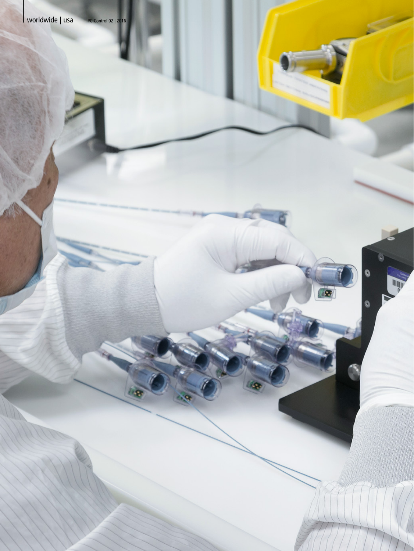٥

 $\pmb{\circ}$ 

T.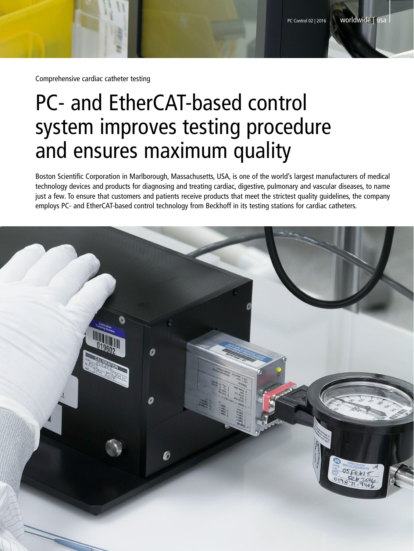|

Comprehensive cardiac catheter testing

## PC- and EtherCAT-based control system improves testing procedure and ensures maximum quality

Boston Scientific Corporation in Marlborough, Massachusetts, USA, is one of the world's largest manufacturers of medical technology devices and products for diagnosing and treating cardiac, digestive, pulmonary and vascular diseases, to name just a few. To ensure that customers and patients receive products that meet the strictest quality guidelines, the company employs PC- and EtherCAT-based control technology from Beckhoff in its testing stations for cardiac catheters.

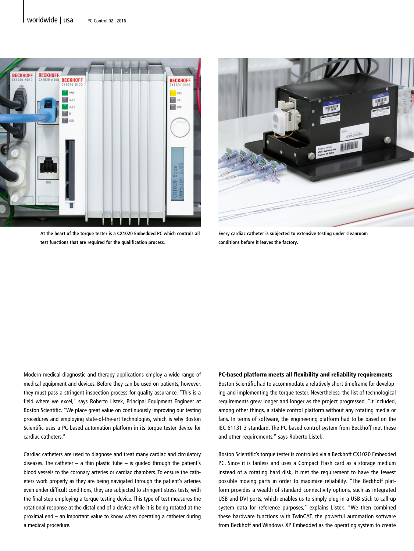

**At the heart of the torque tester is a CX1020 Embedded PC which controls all test functions that are required for the qualification process.**



**Every cardiac catheter is subjected to extensive testing under cleanroom conditions before it leaves the factory.** 

Modern medical diagnostic and therapy applications employ a wide range of medical equipment and devices. Before they can be used on patients, however, they must pass a stringent inspection process for quality assurance. "This is a field where we excel," says Roberto Listek, Principal Equipment Engineer at Boston Scientific. "We place great value on continuously improving our testing procedures and employing state-of-the-art technologies, which is why Boston Scientific uses a PC-based automation platform in its torque tester device for cardiac catheters."

Cardiac catheters are used to diagnose and treat many cardiac and circulatory diseases. The catheter  $-$  a thin plastic tube  $-$  is quided through the patient's blood vessels to the coronary arteries or cardiac chambers. To ensure the catheters work properly as they are being navigated through the patient's arteries even under difficult conditions, they are subjected to stringent stress tests, with the final step employing a torque testing device. This type of test measures the rotational response at the distal end of a device while it is being rotated at the proximal end – an important value to know when operating a catheter during a medical procedure.

## PC-based platform meets all flexibility and reliability requirements

Boston Scientific had to accommodate a relatively short timeframe for developing and implementing the torque tester. Nevertheless, the list of technological requirements grew longer and longer as the project progressed. "It included, among other things, a stable control platform without any rotating media or fans. In terms of software, the engineering platform had to be based on the IEC 61131-3 standard. The PC-based control system from Beckhoff met these and other requirements," says Roberto Listek.

Boston Scientific's torque tester is controlled via a Beckhoff CX1020 Embedded PC. Since it is fanless and uses a Compact Flash card as a storage medium instead of a rotating hard disk, it met the requirement to have the fewest possible moving parts in order to maximize reliability. "The Beckhoff platform provides a wealth of standard connectivity options, such as integrated USB and DVI ports, which enables us to simply plug in a USB stick to call up system data for reference purposes," explains Listek. "We then combined these hardware functions with TwinCAT, the powerful automation software from Beckhoff and Windows XP Embedded as the operating system to create